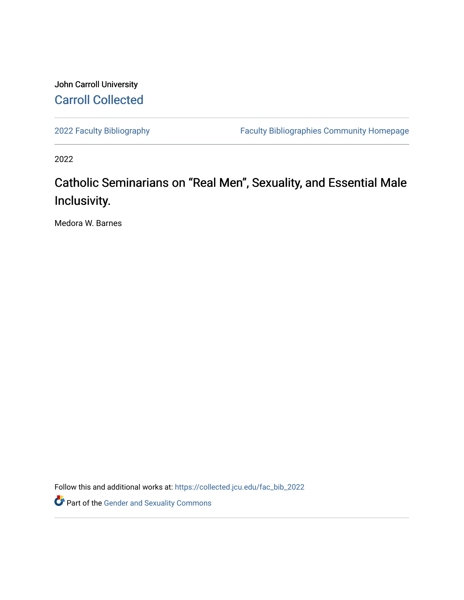# John Carroll University [Carroll Collected](https://collected.jcu.edu/)

[2022 Faculty Bibliography](https://collected.jcu.edu/fac_bib_2022) [Faculty Bibliographies Community Homepage](https://collected.jcu.edu/fac_bib_home) 

2022

# Catholic Seminarians on "Real Men", Sexuality, and Essential Male Inclusivity.

Medora W. Barnes

Follow this and additional works at: [https://collected.jcu.edu/fac\\_bib\\_2022](https://collected.jcu.edu/fac_bib_2022?utm_source=collected.jcu.edu%2Ffac_bib_2022%2F7&utm_medium=PDF&utm_campaign=PDFCoverPages) 

Part of the [Gender and Sexuality Commons](https://network.bepress.com/hgg/discipline/420?utm_source=collected.jcu.edu%2Ffac_bib_2022%2F7&utm_medium=PDF&utm_campaign=PDFCoverPages)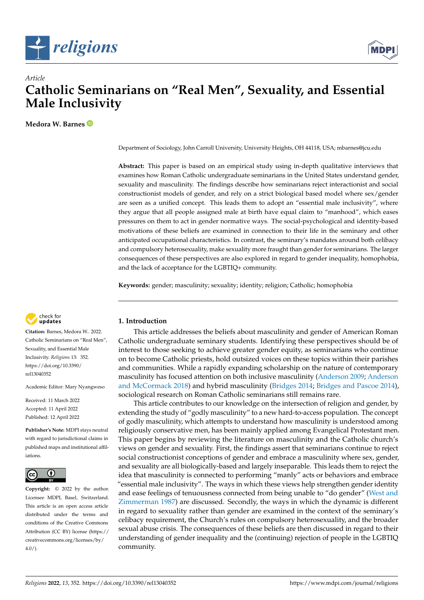



## *Article* **Catholic Seminarians on "Real Men", Sexuality, and Essential Male Inclusivity**

**Medora W. Barnes**

Department of Sociology, John Carroll University, University Heights, OH 44118, USA; mbarnes@jcu.edu

**Abstract:** This paper is based on an empirical study using in-depth qualitative interviews that examines how Roman Catholic undergraduate seminarians in the United States understand gender, sexuality and masculinity. The findings describe how seminarians reject interactionist and social constructionist models of gender, and rely on a strict biological based model where sex/gender are seen as a unified concept. This leads them to adopt an "essential male inclusivity", where they argue that all people assigned male at birth have equal claim to "manhood", which eases pressures on them to act in gender normative ways. The social-psychological and identity-based motivations of these beliefs are examined in connection to their life in the seminary and other anticipated occupational characteristics. In contrast, the seminary's mandates around both celibacy and compulsory heterosexuality, make sexuality more fraught than gender for seminarians. The larger consequences of these perspectives are also explored in regard to gender inequality, homophobia, and the lack of acceptance for the LGBTIQ+ community.

**Keywords:** gender; masculinity; sexuality; identity; religion; Catholic; homophobia



**Citation:** Barnes, Medora W.. 2022. Catholic Seminarians on "Real Men", Sexuality, and Essential Male Inclusivity. *Religions* 13: 352. [https://doi.org/10.3390/](https://doi.org/10.3390/rel13040352) [rel13040352](https://doi.org/10.3390/rel13040352)

Academic Editor: Mary Nyangweso

Received: 11 March 2022 Accepted: 11 April 2022 Published: 12 April 2022

**Publisher's Note:** MDPI stays neutral with regard to jurisdictional claims in published maps and institutional affiliations.



**Copyright:** © 2022 by the author. Licensee MDPI, Basel, Switzerland. This article is an open access article distributed under the terms and conditions of the Creative Commons Attribution (CC BY) license [\(https://](https://creativecommons.org/licenses/by/4.0/) [creativecommons.org/licenses/by/](https://creativecommons.org/licenses/by/4.0/)  $4.0/$ ).

## **1. Introduction**

This article addresses the beliefs about masculinity and gender of American Roman Catholic undergraduate seminary students. Identifying these perspectives should be of interest to those seeking to achieve greater gender equity, as seminarians who continue on to become Catholic priests, hold outsized voices on these topics within their parishes and communities. While a rapidly expanding scholarship on the nature of contemporary masculinity has focused attention on both inclusive masculinity [\(Anderson](#page-13-0) [2009;](#page-13-0) [Anderson](#page-13-1) [and McCormack](#page-13-1) [2018\)](#page-13-1) and hybrid masculinity [\(Bridges](#page-14-0) [2014;](#page-14-0) [Bridges and Pascoe](#page-14-1) [2014\)](#page-14-1), sociological research on Roman Catholic seminarians still remains rare.

This article contributes to our knowledge on the intersection of religion and gender, by extending the study of "godly masculinity" to a new hard-to-access population. The concept of godly masculinity, which attempts to understand how masculinity is understood among religiously conservative men, has been mainly applied among Evangelical Protestant men. This paper begins by reviewing the literature on masculinity and the Catholic church's views on gender and sexuality. First, the findings assert that seminarians continue to reject social constructionist conceptions of gender and embrace a masculinity where sex, gender, and sexuality are all biologically-based and largely inseparable. This leads them to reject the idea that masculinity is connected to performing "manly" acts or behaviors and embrace "essential male inclusivity". The ways in which these views help strengthen gender identity and ease feelings of tenuousness connected from being unable to "do gender" [\(West and](#page-14-2) [Zimmerman](#page-14-2) [1987\)](#page-14-2) are discussed. Secondly, the ways in which the dynamic is different in regard to sexuality rather than gender are examined in the context of the seminary's celibacy requirement, the Church's rules on compulsory heterosexuality, and the broader sexual abuse crisis. The consequences of these beliefs are then discussed in regard to their understanding of gender inequality and the (continuing) rejection of people in the LGBTIQ community.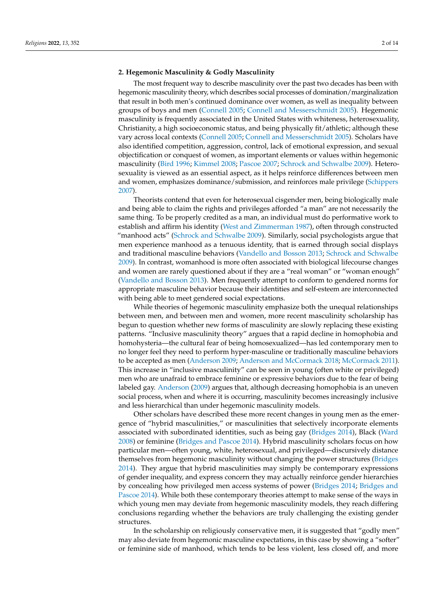#### **2. Hegemonic Masculinity & Godly Masculinity**

The most frequent way to describe masculinity over the past two decades has been with hegemonic masculinity theory, which describes social processes of domination/marginalization that result in both men's continued dominance over women, as well as inequality between groups of boys and men [\(Connell](#page-14-3) [2005;](#page-14-3) [Connell and Messerschmidt](#page-14-4) [2005\)](#page-14-4). Hegemonic masculinity is frequently associated in the United States with whiteness, heterosexuality, Christianity, a high socioeconomic status, and being physically fit/athletic; although these vary across local contexts [\(Connell](#page-14-3) [2005;](#page-14-3) [Connell and Messerschmidt](#page-14-4) [2005\)](#page-14-4). Scholars have also identified competition, aggression, control, lack of emotional expression, and sexual objectification or conquest of women, as important elements or values within hegemonic masculinity [\(Bird](#page-13-2) [1996;](#page-13-2) [Kimmel](#page-14-5) [2008;](#page-14-5) [Pascoe](#page-14-6) [2007;](#page-14-6) [Schrock and Schwalbe](#page-14-7) [2009\)](#page-14-7). Heterosexuality is viewed as an essential aspect, as it helps reinforce differences between men and women, emphasizes dominance/submission, and reinforces male privilege [\(Schippers](#page-14-8) [2007\)](#page-14-8).

Theorists contend that even for heterosexual cisgender men, being biologically male and being able to claim the rights and privileges afforded "a man" are not necessarily the same thing. To be properly credited as a man, an individual must do performative work to establish and affirm his identity [\(West and Zimmerman](#page-14-2) [1987\)](#page-14-2), often through constructed "manhood acts" [\(Schrock and Schwalbe](#page-14-7) [2009\)](#page-14-7). Similarly, social psychologists argue that men experience manhood as a tenuous identity, that is earned through social displays and traditional masculine behaviors [\(Vandello and Bosson](#page-14-9) [2013;](#page-14-9) [Schrock and Schwalbe](#page-14-7) [2009\)](#page-14-7). In contrast, womanhood is more often associated with biological lifecourse changes and women are rarely questioned about if they are a "real woman" or "woman enough" [\(Vandello and Bosson](#page-14-9) [2013\)](#page-14-9). Men frequently attempt to conform to gendered norms for appropriate masculine behavior because their identities and self-esteem are interconnected with being able to meet gendered social expectations.

While theories of hegemonic masculinity emphasize both the unequal relationships between men, and between men and women, more recent masculinity scholarship has begun to question whether new forms of masculinity are slowly replacing these existing patterns. "Inclusive masculinity theory" argues that a rapid decline in homophobia and homohysteria—the cultural fear of being homosexualized—has led contemporary men to no longer feel they need to perform hyper-masculine or traditionally masculine behaviors to be accepted as men [\(Anderson](#page-13-0) [2009;](#page-13-0) [Anderson and McCormack](#page-13-1) [2018;](#page-13-1) [McCormack](#page-14-10) [2011\)](#page-14-10). This increase in "inclusive masculinity" can be seen in young (often white or privileged) men who are unafraid to embrace feminine or expressive behaviors due to the fear of being labeled gay. [Anderson](#page-13-0) [\(2009\)](#page-13-0) argues that, although decreasing homophobia is an uneven social process, when and where it is occurring, masculinity becomes increasingly inclusive and less hierarchical than under hegemonic masculinity models.

Other scholars have described these more recent changes in young men as the emergence of "hybrid masculinities," or masculinities that selectively incorporate elements associated with subordinated identities, such as being gay [\(Bridges](#page-14-0) [2014\)](#page-14-0), Black [\(Ward](#page-14-11) [2008\)](#page-14-11) or feminine [\(Bridges and Pascoe](#page-14-1) [2014\)](#page-14-1). Hybrid masculinity scholars focus on how particular men—often young, white, heterosexual, and privileged—discursively distance themselves from hegemonic masculinity without changing the power structures [\(Bridges](#page-14-0) [2014\)](#page-14-0). They argue that hybrid masculinities may simply be contemporary expressions of gender inequality, and express concern they may actually reinforce gender hierarchies by concealing how privileged men access systems of power [\(Bridges](#page-14-0) [2014;](#page-14-0) [Bridges and](#page-14-1) [Pascoe](#page-14-1) [2014\)](#page-14-1). While both these contemporary theories attempt to make sense of the ways in which young men may deviate from hegemonic masculinity models, they reach differing conclusions regarding whether the behaviors are truly challenging the existing gender structures.

In the scholarship on religiously conservative men, it is suggested that "godly men" may also deviate from hegemonic masculine expectations, in this case by showing a "softer" or feminine side of manhood, which tends to be less violent, less closed off, and more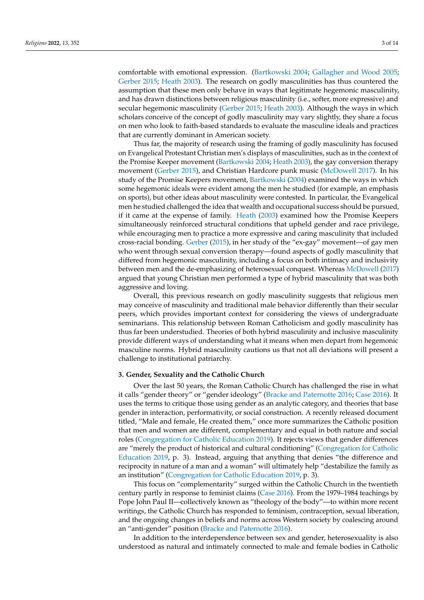comfortable with emotional expression. [\(Bartkowski](#page-13-3) [2004;](#page-13-3) [Gallagher and Wood](#page-14-12) [2005;](#page-14-12) [Gerber](#page-14-13) [2015;](#page-14-13) [Heath](#page-14-14) [2003\)](#page-14-14). The research on godly masculinities has thus countered the assumption that these men only behave in ways that legitimate hegemonic masculinity, and has drawn distinctions between religious masculinity (i.e., softer, more expressive) and secular hegemonic masculinity [\(Gerber](#page-14-13) [2015;](#page-14-13) [Heath](#page-14-14) [2003\)](#page-14-14). Although the ways in which scholars conceive of the concept of godly masculinity may vary slightly, they share a focus on men who look to faith-based standards to evaluate the masculine ideals and practices that are currently dominant in American society.

Thus far, the majority of research using the framing of godly masculinity has focused on Evangelical Protestant Christian men's displays of masculinities, such as in the context of the Promise Keeper movement [\(Bartkowski](#page-13-3) [2004;](#page-13-3) [Heath](#page-14-14) [2003\)](#page-14-14), the gay conversion therapy movement [\(Gerber](#page-14-13) [2015\)](#page-14-13), and Christian Hardcore punk music [\(McDowell](#page-14-15) [2017\)](#page-14-15). In his study of the Promise Keepers movement, [Bartkowski](#page-13-3) [\(2004\)](#page-13-3) examined the ways in which some hegemonic ideals were evident among the men he studied (for example, an emphasis on sports), but other ideas about masculinity were contested. In particular, the Evangelical men he studied challenged the idea that wealth and occupational success should be pursued, if it came at the expense of family. [Heath](#page-14-14) [\(2003\)](#page-14-14) examined how the Promise Keepers simultaneously reinforced structural conditions that upheld gender and race privilege, while encouraging men to practice a more expressive and caring masculinity that included cross-racial bonding. [Gerber](#page-14-13) [\(2015\)](#page-14-13), in her study of the "ex-gay" movement—of gay men who went through sexual conversion therapy—found aspects of godly masculinity that differed from hegemonic masculinity, including a focus on both intimacy and inclusivity between men and the de-emphasizing of heterosexual conquest. Whereas [McDowell](#page-14-15) [\(2017\)](#page-14-15) argued that young Christian men performed a type of hybrid masculinity that was both aggressive and loving.

Overall, this previous research on godly masculinity suggests that religious men may conceive of masculinity and traditional male behavior differently than their secular peers, which provides important context for considering the views of undergraduate seminarians. This relationship between Roman Catholicism and godly masculinity has thus far been understudied. Theories of both hybrid masculinity and inclusive masculinity provide different ways of understanding what it means when men depart from hegemonic masculine norms. Hybrid masculinity cautions us that not all deviations will present a challenge to institutional patriarchy.

#### **3. Gender, Sexuality and the Catholic Church**

Over the last 50 years, the Roman Catholic Church has challenged the rise in what it calls "gender theory" or "gender ideology" [\(Bracke and Paternotte](#page-13-4) [2016;](#page-13-4) [Case](#page-14-16) [2016\)](#page-14-16). It uses the terms to critique those using gender as an analytic category, and theories that base gender in interaction, performativity, or social construction. A recently released document titled, "Male and female, He created them," once more summarizes the Catholic position that men and women are different, complementary and equal in both nature and social roles [\(Congregation for Catholic Education](#page-14-17) [2019\)](#page-14-17). It rejects views that gender differences are "merely the product of historical and cultural conditioning" [\(Congregation for Catholic](#page-14-17) [Education](#page-14-17) [2019,](#page-14-17) p. 3). Instead, arguing that anything that denies "the difference and reciprocity in nature of a man and a woman" will ultimately help "destabilize the family as an institution" [\(Congregation for Catholic Education](#page-14-17) [2019,](#page-14-17) p. 3).

This focus on "complementarity" surged within the Catholic Church in the twentieth century partly in response to feminist claims [\(Case](#page-14-16) [2016\)](#page-14-16). From the 1979–1984 teachings by Pope John Paul II—collectively known as "theology of the body"—to within more recent writings, the Catholic Church has responded to feminism, contraception, sexual liberation, and the ongoing changes in beliefs and norms across Western society by coalescing around an "anti-gender" position [\(Bracke and Paternotte](#page-13-4) [2016\)](#page-13-4).

In addition to the interdependence between sex and gender, heterosexuality is also understood as natural and intimately connected to male and female bodies in Catholic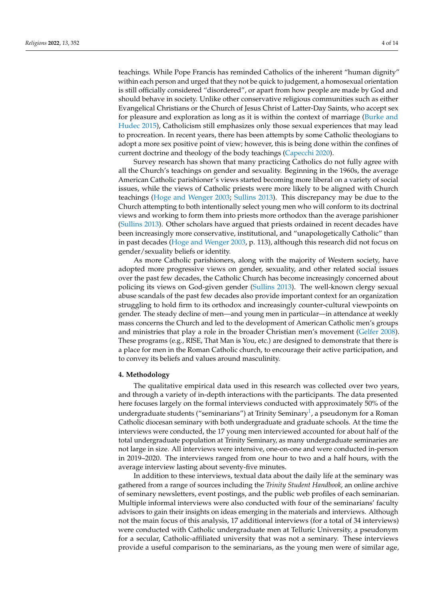teachings. While Pope Francis has reminded Catholics of the inherent "human dignity" within each person and urged that they not be quick to judgement, a homosexual orientation is still officially considered "disordered", or apart from how people are made by God and should behave in society. Unlike other conservative religious communities such as either Evangelical Christians or the Church of Jesus Christ of Latter-Day Saints, who accept sex for pleasure and exploration as long as it is within the context of marriage [\(Burke and](#page-14-18) [Hudec](#page-14-18) [2015\)](#page-14-18), Catholicism still emphasizes only those sexual experiences that may lead to procreation. In recent years, there has been attempts by some Catholic theologians to adopt a more sex positive point of view; however, this is being done within the confines of current doctrine and theology of the body teachings [\(Capecchi](#page-14-19) [2020\)](#page-14-19).

Survey research has shown that many practicing Catholics do not fully agree with all the Church's teachings on gender and sexuality. Beginning in the 1960s, the average American Catholic parishioner's views started becoming more liberal on a variety of social issues, while the views of Catholic priests were more likely to be aligned with Church teachings [\(Hoge and Wenger](#page-14-20) [2003;](#page-14-20) [Sullins](#page-14-21) [2013\)](#page-14-21). This discrepancy may be due to the Church attempting to both intentionally select young men who will conform to its doctrinal views and working to form them into priests more orthodox than the average parishioner [\(Sullins](#page-14-21) [2013\)](#page-14-21). Other scholars have argued that priests ordained in recent decades have been increasingly more conservative, institutional, and "unapologetically Catholic" than in past decades [\(Hoge and Wenger](#page-14-20) [2003,](#page-14-20) p. 113), although this research did not focus on gender/sexuality beliefs or identity.

As more Catholic parishioners, along with the majority of Western society, have adopted more progressive views on gender, sexuality, and other related social issues over the past few decades, the Catholic Church has become increasingly concerned about policing its views on God-given gender [\(Sullins](#page-14-21) [2013\)](#page-14-21). The well-known clergy sexual abuse scandals of the past few decades also provide important context for an organization struggling to hold firm to its orthodox and increasingly counter-cultural viewpoints on gender. The steady decline of men—and young men in particular—in attendance at weekly mass concerns the Church and led to the development of American Catholic men's groups and ministries that play a role in the broader Christian men's movement [\(Gelfer](#page-14-22) [2008\)](#page-14-22). These programs (e.g., RISE, That Man is You, etc.) are designed to demonstrate that there is a place for men in the Roman Catholic church, to encourage their active participation, and to convey its beliefs and values around masculinity.

#### **4. Methodology**

<span id="page-4-0"></span>The qualitative empirical data used in this research was collected over two years, and through a variety of in-depth interactions with the participants. The data presented here focuses largely on the formal interviews conducted with approximately 50% of the undergraduate students ("seminarians") at Trinity Seminary<sup>[1](#page-13-5)</sup>, a pseudonym for a Roman Catholic diocesan seminary with both undergraduate and graduate schools. At the time the interviews were conducted, the 17 young men interviewed accounted for about half of the total undergraduate population at Trinity Seminary, as many undergraduate seminaries are not large in size. All interviews were intensive, one-on-one and were conducted in-person in 2019–2020. The interviews ranged from one hour to two and a half hours, with the average interview lasting about seventy-five minutes.

In addition to these interviews, textual data about the daily life at the seminary was gathered from a range of sources including the *Trinity Student Handbook*, an online archive of seminary newsletters, event postings, and the public web profiles of each seminarian. Multiple informal interviews were also conducted with four of the seminarians' faculty advisors to gain their insights on ideas emerging in the materials and interviews. Although not the main focus of this analysis, 17 additional interviews (for a total of 34 interviews) were conducted with Catholic undergraduate men at Telluric University, a pseudonym for a secular, Catholic-affiliated university that was not a seminary. These interviews provide a useful comparison to the seminarians, as the young men were of similar age,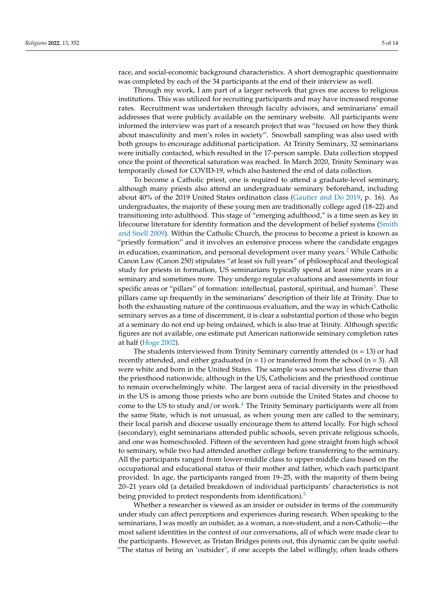race, and social-economic background characteristics. A short demographic questionnaire was completed by each of the 34 participants at the end of their interview as well.

Through my work, I am part of a larger network that gives me access to religious institutions. This was utilized for recruiting participants and may have increased response rates. Recruitment was undertaken through faculty advisors, and seminarians' email addresses that were publicly available on the seminary website. All participants were informed the interview was part of a research project that was "focused on how they think about masculinity and men's roles in society". Snowball sampling was also used with both groups to encourage additional participation. At Trinity Seminary, 32 seminarians were initially contacted, which resulted in the 17-person sample. Data collection stopped once the point of theoretical saturation was reached. In March 2020, Trinity Seminary was temporarily closed for COVID-19, which also hastened the end of data collection.

<span id="page-5-0"></span>To become a Catholic priest, one is required to attend a graduate-level seminary, although many priests also attend an undergraduate seminary beforehand, including about 40% of the 2019 United States ordination class [\(Gautier and Do](#page-14-23) [2019,](#page-14-23) p. 16). As undergraduates, the majority of these young men are traditionally college aged (18–22) and transitioning into adulthood. This stage of "emerging adulthood," is a time seen as key in lifecourse literature for identity formation and the development of belief systems [\(Smith](#page-14-24) [and Snell](#page-14-24) [2009\)](#page-14-24). Within the Catholic Church, the process to become a priest is known as "priestly formation" and it involves an extensive process where the candidate engages in education, examination, and personal development over many years.<sup>[2](#page-13-6)</sup> While Catholic Canon Law (Canon 250) stipulates "at least six full years" of philosophical and theological study for priests in formation, US seminarians typically spend at least nine years in a seminary and sometimes more. They undergo regular evaluations and assessments in four specific areas or "pillars" of formation: intellectual, pastoral, spiritual, and human<sup>[3](#page-13-7)</sup>. These pillars came up frequently in the seminarians' description of their life at Trinity. Due to both the exhausting nature of the continuous evaluation, and the way in which Catholic seminary serves as a time of discernment, it is clear a substantial portion of those who begin at a seminary do not end up being ordained, which is also true at Trinity. Although specific figures are not available, one estimate put American nationwide seminary completion rates at half [\(Hoge](#page-14-25) [2002\)](#page-14-25).

<span id="page-5-2"></span><span id="page-5-1"></span>The students interviewed from Trinity Seminary currently attended  $(n = 13)$  or had recently attended, and either graduated ( $n = 1$ ) or transferred from the school ( $n = 3$ ). All were white and born in the United States. The sample was somewhat less diverse than the priesthood nationwide, although in the US, Catholicism and the priesthood continue to remain overwhelmingly white. The largest area of racial diversity in the priesthood in the US is among those priests who are born outside the United States and choose to come to the US to study and/or work.<sup>[4](#page-13-8)</sup> The Trinity Seminary participants were all from the same State, which is not unusual, as when young men are called to the seminary, their local parish and diocese usually encourage them to attend locally. For high school (secondary), eight seminarians attended public schools, seven private religious schools, and one was homeschooled. Fifteen of the seventeen had gone straight from high school to seminary, while two had attended another college before transferring to the seminary. All the participants ranged from lower-middle class to upper-middle class based on the occupational and educational status of their mother and father, which each participant provided. In age, the participants ranged from 19–25, with the majority of them being 20–21 years old (a detailed breakdown of individual participants' characteristics is not being provided to protect respondents from identification).<sup>[5](#page-13-9)</sup>

<span id="page-5-3"></span>Whether a researcher is viewed as an insider or outsider in terms of the community under study can affect perceptions and experiences during research. When speaking to the seminarians, I was mostly an outsider, as a woman, a non-student, and a non-Catholic—the most salient identities in the context of our conversations, all of which were made clear to the participants. However, as Tristan Bridges points out, this dynamic can be quite useful: "The status of being an 'outsider', if one accepts the label willingly, often leads others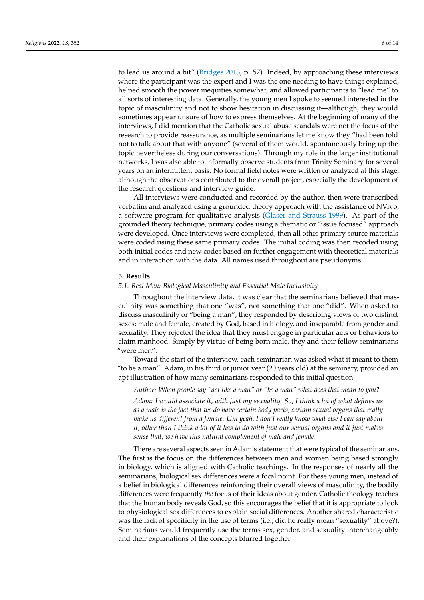to lead us around a bit" [\(Bridges](#page-13-10) [2013,](#page-13-10) p. 57). Indeed, by approaching these interviews where the participant was the expert and I was the one needing to have things explained, helped smooth the power inequities somewhat, and allowed participants to "lead me" to all sorts of interesting data. Generally, the young men I spoke to seemed interested in the topic of masculinity and not to show hesitation in discussing it—although, they would sometimes appear unsure of how to express themselves. At the beginning of many of the interviews, I did mention that the Catholic sexual abuse scandals were not the focus of the research to provide reassurance, as multiple seminarians let me know they "had been told not to talk about that with anyone" (several of them would, spontaneously bring up the topic nevertheless during our conversations). Through my role in the larger institutional networks, I was also able to informally observe students from Trinity Seminary for several years on an intermittent basis. No formal field notes were written or analyzed at this stage, although the observations contributed to the overall project, especially the development of the research questions and interview guide.

All interviews were conducted and recorded by the author, then were transcribed verbatim and analyzed using a grounded theory approach with the assistance of NVivo, a software program for qualitative analysis [\(Glaser and Strauss](#page-14-26) [1999\)](#page-14-26). As part of the grounded theory technique, primary codes using a thematic or "issue focused" approach were developed. Once interviews were completed, then all other primary source materials were coded using these same primary codes. The initial coding was then recoded using both initial codes and new codes based on further engagement with theoretical materials and in interaction with the data. All names used throughout are pseudonyms.

#### **5. Results**

#### *5.1. Real Men: Biological Masculinity and Essential Male Inclusivity*

Throughout the interview data, it was clear that the seminarians believed that masculinity was something that one "was", not something that one "did". When asked to discuss masculinity or "being a man", they responded by describing views of two distinct sexes; male and female, created by God, based in biology, and inseparable from gender and sexuality. They rejected the idea that they must engage in particular acts or behaviors to claim manhood. Simply by virtue of being born male, they and their fellow seminarians "were men".

Toward the start of the interview, each seminarian was asked what it meant to them "to be a man". Adam, in his third or junior year (20 years old) at the seminary, provided an apt illustration of how many seminarians responded to this initial question:

*Author: When people say "act like a man" or "be a man" what does that mean to you? Adam: I would associate it, with just my sexuality. So, I think a lot of what defines us as a male is the fact that we do have certain body parts, certain sexual organs that really make us different from a female. Um yeah, I don't really know what else I can say about it, other than I think a lot of it has to do with just our sexual organs and it just makes sense that, we have this natural complement of male and female.*

There are several aspects seen in Adam's statement that were typical of the seminarians. The first is the focus on the differences between men and women being based strongly in biology, which is aligned with Catholic teachings. In the responses of nearly all the seminarians, biological sex differences were a focal point. For these young men, instead of a belief in biological differences reinforcing their overall views of masculinity, the bodily differences were frequently *the* focus of their ideas about gender. Catholic theology teaches that the human body reveals God, so this encourages the belief that it is appropriate to look to physiological sex differences to explain social differences. Another shared characteristic was the lack of specificity in the use of terms (i.e., did he really mean "sexuality" above?). Seminarians would frequently use the terms sex, gender, and sexuality interchangeably and their explanations of the concepts blurred together.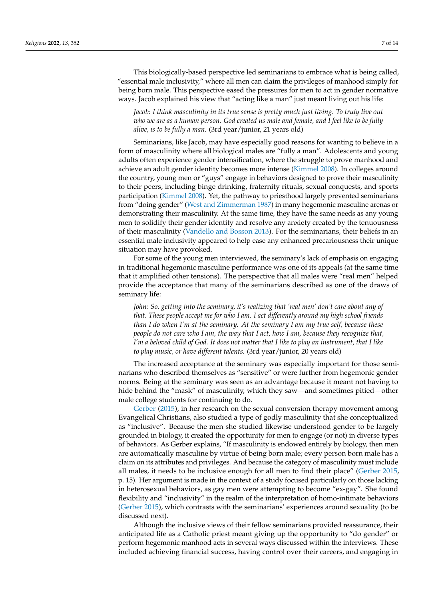This biologically-based perspective led seminarians to embrace what is being called, "essential male inclusivity," where all men can claim the privileges of manhood simply for being born male. This perspective eased the pressures for men to act in gender normative ways. Jacob explained his view that "acting like a man" just meant living out his life:

*Jacob: I think masculinity in its true sense is pretty much just living. To truly live out who we are as a human person. God created us male and female, and I feel like to be fully alive, is to be fully a man.* (3rd year/junior, 21 years old)

Seminarians, like Jacob, may have especially good reasons for wanting to believe in a form of masculinity where all biological males are "fully a man". Adolescents and young adults often experience gender intensification, where the struggle to prove manhood and achieve an adult gender identity becomes more intense [\(Kimmel](#page-14-5) [2008\)](#page-14-5). In colleges around the country, young men or "guys" engage in behaviors designed to prove their masculinity to their peers, including binge drinking, fraternity rituals, sexual conquests, and sports participation [\(Kimmel](#page-14-5) [2008\)](#page-14-5). Yet, the pathway to priesthood largely prevented seminarians from "doing gender" [\(West and Zimmerman](#page-14-2) [1987\)](#page-14-2) in many hegemonic masculine arenas or demonstrating their masculinity. At the same time, they have the same needs as any young men to solidify their gender identity and resolve any anxiety created by the tenuousness of their masculinity [\(Vandello and Bosson](#page-14-9) [2013\)](#page-14-9). For the seminarians, their beliefs in an essential male inclusivity appeared to help ease any enhanced precariousness their unique situation may have provoked.

For some of the young men interviewed, the seminary's lack of emphasis on engaging in traditional hegemonic masculine performance was one of its appeals (at the same time that it amplified other tensions). The perspective that all males were "real men" helped provide the acceptance that many of the seminarians described as one of the draws of seminary life:

*John: So, getting into the seminary, it's realizing that 'real men' don't care about any of that. These people accept me for who I am. I act differently around my high school friends than I do when I'm at the seminary. At the seminary I am my true self, because these people do not care who I am, the way that I act, how I am, because they recognize that, I'm a beloved child of God. It does not matter that I like to play an instrument, that I like to play music, or have different talents.* (3rd year/junior, 20 years old)

The increased acceptance at the seminary was especially important for those seminarians who described themselves as "sensitive" or were further from hegemonic gender norms. Being at the seminary was seen as an advantage because it meant not having to hide behind the "mask" of masculinity, which they saw—and sometimes pitied—other male college students for continuing to do.

[Gerber](#page-14-13) [\(2015\)](#page-14-13), in her research on the sexual conversion therapy movement among Evangelical Christians, also studied a type of godly masculinity that she conceptualized as "inclusive". Because the men she studied likewise understood gender to be largely grounded in biology, it created the opportunity for men to engage (or not) in diverse types of behaviors. As Gerber explains, "If masculinity is endowed entirely by biology, then men are automatically masculine by virtue of being born male; every person born male has a claim on its attributes and privileges. And because the category of masculinity must include all males, it needs to be inclusive enough for all men to find their place" [\(Gerber](#page-14-13) [2015,](#page-14-13) p. 15). Her argument is made in the context of a study focused particularly on those lacking in heterosexual behaviors, as gay men were attempting to become "ex-gay". She found flexibility and "inclusivity" in the realm of the interpretation of homo-intimate behaviors [\(Gerber](#page-14-13) [2015\)](#page-14-13), which contrasts with the seminarians' experiences around sexuality (to be discussed next).

Although the inclusive views of their fellow seminarians provided reassurance, their anticipated life as a Catholic priest meant giving up the opportunity to "do gender" or perform hegemonic manhood acts in several ways discussed within the interviews. These included achieving financial success, having control over their careers, and engaging in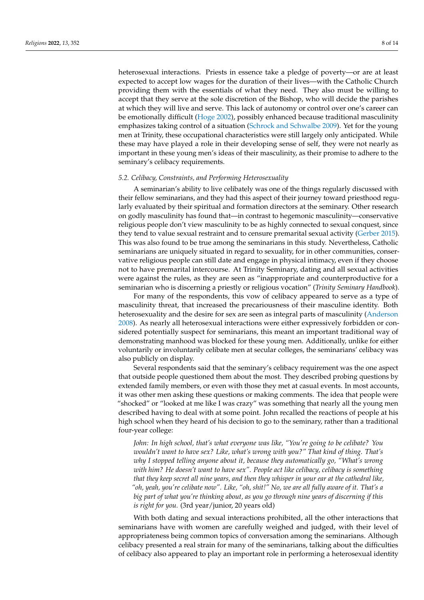heterosexual interactions. Priests in essence take a pledge of poverty—or are at least expected to accept low wages for the duration of their lives—with the Catholic Church providing them with the essentials of what they need. They also must be willing to accept that they serve at the sole discretion of the Bishop, who will decide the parishes at which they will live and serve. This lack of autonomy or control over one's career can be emotionally difficult [\(Hoge](#page-14-25) [2002\)](#page-14-25), possibly enhanced because traditional masculinity emphasizes taking control of a situation [\(Schrock and Schwalbe](#page-14-7) [2009\)](#page-14-7). Yet for the young men at Trinity, these occupational characteristics were still largely only anticipated. While these may have played a role in their developing sense of self, they were not nearly as important in these young men's ideas of their masculinity, as their promise to adhere to the seminary's celibacy requirements.

#### *5.2. Celibacy, Constraints, and Performing Heterosexuality*

A seminarian's ability to live celibately was one of the things regularly discussed with their fellow seminarians, and they had this aspect of their journey toward priesthood regularly evaluated by their spiritual and formation directors at the seminary. Other research on godly masculinity has found that—in contrast to hegemonic masculinity—conservative religious people don't view masculinity to be as highly connected to sexual conquest, since they tend to value sexual restraint and to censure premarital sexual activity [\(Gerber](#page-14-13) [2015\)](#page-14-13). This was also found to be true among the seminarians in this study. Nevertheless, Catholic seminarians are uniquely situated in regard to sexuality, for in other communities, conservative religious people can still date and engage in physical intimacy, even if they choose not to have premarital intercourse. At Trinity Seminary, dating and all sexual activities were against the rules, as they are seen as "inappropriate and counterproductive for a seminarian who is discerning a priestly or religious vocation" (*Trinity Seminary Handbook*).

For many of the respondents, this vow of celibacy appeared to serve as a type of masculinity threat, that increased the precariousness of their masculine identity. Both heterosexuality and the desire for sex are seen as integral parts of masculinity [\(Anderson](#page-13-11) [2008\)](#page-13-11). As nearly all heterosexual interactions were either expressively forbidden or considered potentially suspect for seminarians, this meant an important traditional way of demonstrating manhood was blocked for these young men. Additionally, unlike for either voluntarily or involuntarily celibate men at secular colleges, the seminarians' celibacy was also publicly on display.

Several respondents said that the seminary's celibacy requirement was the one aspect that outside people questioned them about the most. They described probing questions by extended family members, or even with those they met at casual events. In most accounts, it was other men asking these questions or making comments. The idea that people were "shocked" or "looked at me like I was crazy" was something that nearly all the young men described having to deal with at some point. John recalled the reactions of people at his high school when they heard of his decision to go to the seminary, rather than a traditional four-year college:

*John: In high school, that's what everyone was like, "You're going to be celibate? You wouldn't want to have sex? Like, what's wrong with you?" That kind of thing. That's why I stopped telling anyone about it, because they automatically go, "What's wrong with him? He doesn't want to have sex". People act like celibacy, celibacy is something that they keep secret all nine years, and then they whisper in your ear at the cathedral like, "oh, yeah, you're celibate now". Like, "oh, shit!" No, we are all fully aware of it. That's a big part of what you're thinking about, as you go through nine years of discerning if this is right for you.* (3rd year/junior, 20 years old)

With both dating and sexual interactions prohibited, all the other interactions that seminarians have with women are carefully weighed and judged, with their level of appropriateness being common topics of conversation among the seminarians. Although celibacy presented a real strain for many of the seminarians, talking about the difficulties of celibacy also appeared to play an important role in performing a heterosexual identity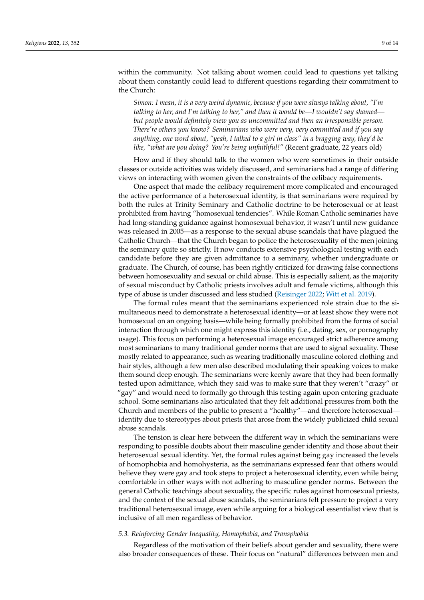### within the community. Not talking about women could lead to questions yet talking about them constantly could lead to different questions regarding their commitment to the Church:

*Simon: I mean, it is a very weird dynamic, because if you were always talking about, "I'm talking to her, and I'm talking to her," and then it would be—I wouldn't say shamed but people would definitely view you as uncommitted and then an irresponsible person. There're others you know? Seminarians who were very, very committed and if you say anything, one word about, "yeah, I talked to a girl in class" in a bragging way, they'd be like, "what are you doing? You're being unfaithful!"* (Recent graduate, 22 years old)

How and if they should talk to the women who were sometimes in their outside classes or outside activities was widely discussed, and seminarians had a range of differing views on interacting with women given the constraints of the celibacy requirements.

One aspect that made the celibacy requirement more complicated and encouraged the active performance of a heterosexual identity, is that seminarians were required by both the rules at Trinity Seminary and Catholic doctrine to be heterosexual or at least prohibited from having "homosexual tendencies". While Roman Catholic seminaries have had long-standing guidance against homosexual behavior, it wasn't until new guidance was released in 2005—as a response to the sexual abuse scandals that have plagued the Catholic Church—that the Church began to police the heterosexuality of the men joining the seminary quite so strictly. It now conducts extensive psychological testing with each candidate before they are given admittance to a seminary, whether undergraduate or graduate. The Church, of course, has been rightly criticized for drawing false connections between homosexuality and sexual or child abuse. This is especially salient, as the majority of sexual misconduct by Catholic priests involves adult and female victims, although this type of abuse is under discussed and less studied [\(Reisinger](#page-14-27) [2022;](#page-14-27) [Witt et al.](#page-14-28) [2019\)](#page-14-28).

The formal rules meant that the seminarians experienced role strain due to the simultaneous need to demonstrate a heterosexual identity—or at least show they were not homosexual on an ongoing basis—while being formally prohibited from the forms of social interaction through which one might express this identity (i.e., dating, sex, or pornography usage). This focus on performing a heterosexual image encouraged strict adherence among most seminarians to many traditional gender norms that are used to signal sexuality. These mostly related to appearance, such as wearing traditionally masculine colored clothing and hair styles, although a few men also described modulating their speaking voices to make them sound deep enough. The seminarians were keenly aware that they had been formally tested upon admittance, which they said was to make sure that they weren't "crazy" or "gay" and would need to formally go through this testing again upon entering graduate school. Some seminarians also articulated that they felt additional pressures from both the Church and members of the public to present a "healthy"—and therefore heterosexual identity due to stereotypes about priests that arose from the widely publicized child sexual abuse scandals.

The tension is clear here between the different way in which the seminarians were responding to possible doubts about their masculine gender identity and those about their heterosexual sexual identity. Yet, the formal rules against being gay increased the levels of homophobia and homohysteria, as the seminarians expressed fear that others would believe they were gay and took steps to project a heterosexual identity, even while being comfortable in other ways with not adhering to masculine gender norms. Between the general Catholic teachings about sexuality, the specific rules against homosexual priests, and the context of the sexual abuse scandals, the seminarians felt pressure to project a very traditional heterosexual image, even while arguing for a biological essentialist view that is inclusive of all men regardless of behavior.

#### *5.3. Reinforcing Gender Inequality, Homophobia, and Transphobia*

Regardless of the motivation of their beliefs about gender and sexuality, there were also broader consequences of these. Their focus on "natural" differences between men and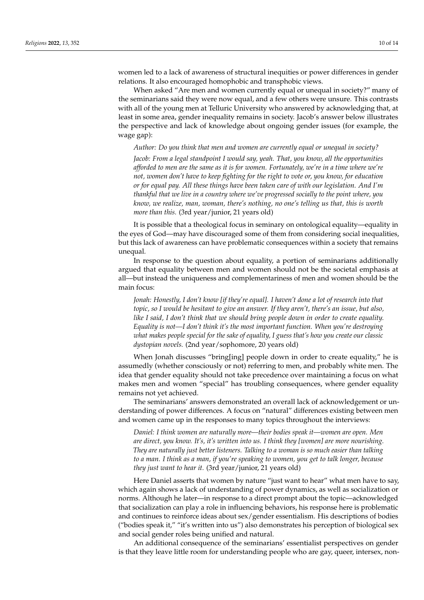women led to a lack of awareness of structural inequities or power differences in gender relations. It also encouraged homophobic and transphobic views.

When asked "Are men and women currently equal or unequal in society?" many of the seminarians said they were now equal, and a few others were unsure. This contrasts with all of the young men at Telluric University who answered by acknowledging that, at least in some area, gender inequality remains in society. Jacob's answer below illustrates the perspective and lack of knowledge about ongoing gender issues (for example, the wage gap):

*Author: Do you think that men and women are currently equal or unequal in society?*

*Jacob: From a legal standpoint I would say, yeah. That, you know, all the opportunities afforded to men are the same as it is for women. Fortunately, we're in a time where we're not, women don't have to keep fighting for the right to vote or, you know, for education or for equal pay. All these things have been taken care of with our legislation. And I'm thankful that we live in a country where we've progressed socially to the point where, you know, we realize, man, woman, there's nothing, no one's telling us that, this is worth more than this.* (3rd year/junior, 21 years old)

It is possible that a theological focus in seminary on ontological equality—equality in the eyes of God—may have discouraged some of them from considering social inequalities, but this lack of awareness can have problematic consequences within a society that remains unequal.

In response to the question about equality, a portion of seminarians additionally argued that equality between men and women should not be the societal emphasis at all—but instead the uniqueness and complementariness of men and women should be the main focus:

*Jonah: Honestly, I don't know [if they're equal]. I haven't done a lot of research into that topic, so I would be hesitant to give an answer. If they aren't, there's an issue, but also, like I said, I don't think that we should bring people down in order to create equality. Equality is not—I don't think it's the most important function. When you're destroying what makes people special for the sake of equality, I guess that's how you create our classic dystopian novels.* (2nd year/sophomore, 20 years old)

When Jonah discusses "bring[ing] people down in order to create equality," he is assumedly (whether consciously or not) referring to men, and probably white men. The idea that gender equality should not take precedence over maintaining a focus on what makes men and women "special" has troubling consequences, where gender equality remains not yet achieved.

The seminarians' answers demonstrated an overall lack of acknowledgement or understanding of power differences. A focus on "natural" differences existing between men and women came up in the responses to many topics throughout the interviews:

*Daniel: I think women are naturally more—their bodies speak it—women are open. Men are direct, you know. It's, it's written into us. I think they [women] are more nourishing. They are naturally just better listeners. Talking to a woman is so much easier than talking to a man. I think as a man, if you're speaking to women, you get to talk longer, because they just want to hear it.* (3rd year/junior, 21 years old)

Here Daniel asserts that women by nature "just want to hear" what men have to say, which again shows a lack of understanding of power dynamics, as well as socialization or norms. Although he later—in response to a direct prompt about the topic—acknowledged that socialization can play a role in influencing behaviors, his response here is problematic and continues to reinforce ideas about sex/gender essentialism. His descriptions of bodies ("bodies speak it," "it's written into us") also demonstrates his perception of biological sex and social gender roles being unified and natural.

An additional consequence of the seminarians' essentialist perspectives on gender is that they leave little room for understanding people who are gay, queer, intersex, non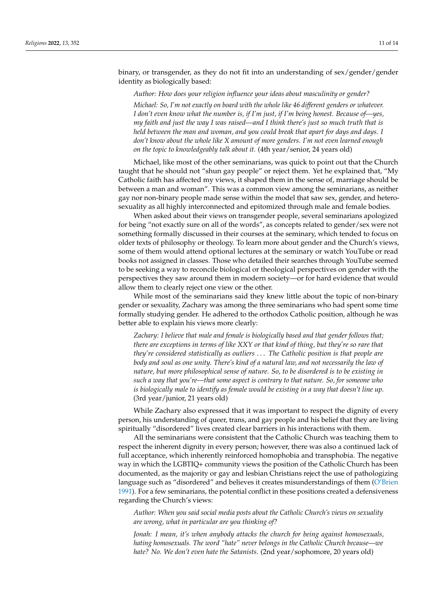binary, or transgender, as they do not fit into an understanding of sex/gender/gender identity as biologically based:

*Author: How does your religion influence your ideas about masculinity or gender? Michael: So, I'm not exactly on board with the whole like 46 different genders or whatever. I don't even know what the number is, if I'm just, if I'm being honest. Because of—yes, my faith and just the way I was raised—and I think there's just so much truth that is held between the man and woman, and you could break that apart for days and days. I don't know about the whole like X amount of more genders. I'm not even learned enough on the topic to knowledgeably talk about it.* (4th year/senior, 24 years old)

Michael, like most of the other seminarians, was quick to point out that the Church taught that he should not "shun gay people" or reject them. Yet he explained that, "My Catholic faith has affected my views, it shaped them in the sense of, marriage should be between a man and woman". This was a common view among the seminarians, as neither gay nor non-binary people made sense within the model that saw sex, gender, and heterosexuality as all highly interconnected and epitomized through male and female bodies.

When asked about their views on transgender people, several seminarians apologized for being "not exactly sure on all of the words", as concepts related to gender/sex were not something formally discussed in their courses at the seminary, which tended to focus on older texts of philosophy or theology. To learn more about gender and the Church's views, some of them would attend optional lectures at the seminary or watch YouTube or read books not assigned in classes. Those who detailed their searches through YouTube seemed to be seeking a way to reconcile biological or theological perspectives on gender with the perspectives they saw around them in modern society—or for hard evidence that would allow them to clearly reject one view or the other.

While most of the seminarians said they knew little about the topic of non-binary gender or sexuality, Zachary was among the three seminarians who had spent some time formally studying gender. He adhered to the orthodox Catholic position, although he was better able to explain his views more clearly:

*Zachary: I believe that male and female is biologically based and that gender follows that; there are exceptions in terms of like XXY or that kind of thing, but they're so rare that they're considered statistically as outliers* . . . *The Catholic position is that people are body and soul as one unity. There's kind of a natural law, and not necessarily the law of nature, but more philosophical sense of nature. So, to be disordered is to be existing in such a way that you're—that some aspect is contrary to that nature. So, for someone who is biologically male to identify as female would be existing in a way that doesn't line up.* (3rd year/junior, 21 years old)

While Zachary also expressed that it was important to respect the dignity of every person, his understanding of queer, trans, and gay people and his belief that they are living spiritually "disordered" lives created clear barriers in his interactions with them.

All the seminarians were consistent that the Catholic Church was teaching them to respect the inherent dignity in every person; however, there was also a continued lack of full acceptance, which inherently reinforced homophobia and transphobia. The negative way in which the LGBTIQ+ community views the position of the Catholic Church has been documented, as the majority or gay and lesbian Christians reject the use of pathologizing language such as "disordered" and believes it creates misunderstandings of them [\(O'Brien](#page-14-29) [1991\)](#page-14-29). For a few seminarians, the potential conflict in these positions created a defensiveness regarding the Church's views:

*Author: When you said social media posts about the Catholic Church's views on sexuality are wrong, what in particular are you thinking of?*

*Jonah: I mean, it's when anybody attacks the church for being against homosexuals, hating homosexuals. The word "hate" never belongs in the Catholic Church because—we hate? No. We don't even hate the Satanists.* (2nd year/sophomore, 20 years old)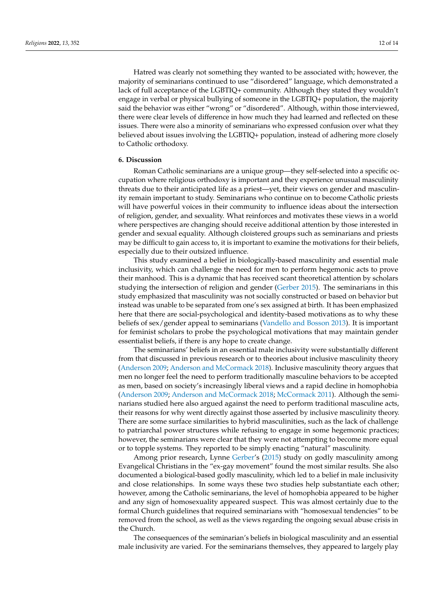Hatred was clearly not something they wanted to be associated with; however, the majority of seminarians continued to use "disordered" language, which demonstrated a lack of full acceptance of the LGBTIQ+ community. Although they stated they wouldn't engage in verbal or physical bullying of someone in the LGBTIQ+ population, the majority said the behavior was either "wrong" or "disordered". Although, within those interviewed, there were clear levels of difference in how much they had learned and reflected on these issues. There were also a minority of seminarians who expressed confusion over what they believed about issues involving the LGBTIQ+ population, instead of adhering more closely to Catholic orthodoxy.

#### **6. Discussion**

Roman Catholic seminarians are a unique group—they self-selected into a specific occupation where religious orthodoxy is important and they experience unusual masculinity threats due to their anticipated life as a priest—yet, their views on gender and masculinity remain important to study. Seminarians who continue on to become Catholic priests will have powerful voices in their community to influence ideas about the intersection of religion, gender, and sexuality. What reinforces and motivates these views in a world where perspectives are changing should receive additional attention by those interested in gender and sexual equality. Although cloistered groups such as seminarians and priests may be difficult to gain access to, it is important to examine the motivations for their beliefs, especially due to their outsized influence.

This study examined a belief in biologically-based masculinity and essential male inclusivity, which can challenge the need for men to perform hegemonic acts to prove their manhood. This is a dynamic that has received scant theoretical attention by scholars studying the intersection of religion and gender [\(Gerber](#page-14-13) [2015\)](#page-14-13). The seminarians in this study emphasized that masculinity was not socially constructed or based on behavior but instead was unable to be separated from one's sex assigned at birth. It has been emphasized here that there are social-psychological and identity-based motivations as to why these beliefs of sex/gender appeal to seminarians [\(Vandello and Bosson](#page-14-9) [2013\)](#page-14-9). It is important for feminist scholars to probe the psychological motivations that may maintain gender essentialist beliefs, if there is any hope to create change.

The seminarians' beliefs in an essential male inclusivity were substantially different from that discussed in previous research or to theories about inclusive masculinity theory [\(Anderson](#page-13-0) [2009;](#page-13-0) [Anderson and McCormack](#page-13-1) [2018\)](#page-13-1). Inclusive masculinity theory argues that men no longer feel the need to perform traditionally masculine behaviors to be accepted as men, based on society's increasingly liberal views and a rapid decline in homophobia [\(Anderson](#page-13-0) [2009;](#page-13-0) [Anderson and McCormack](#page-13-1) [2018;](#page-13-1) [McCormack](#page-14-10) [2011\)](#page-14-10). Although the seminarians studied here also argued against the need to perform traditional masculine acts, their reasons for why went directly against those asserted by inclusive masculinity theory. There are some surface similarities to hybrid masculinities, such as the lack of challenge to patriarchal power structures while refusing to engage in some hegemonic practices; however, the seminarians were clear that they were not attempting to become more equal or to topple systems. They reported to be simply enacting "natural" masculinity.

Among prior research, Lynne [Gerber'](#page-14-13)s [\(2015\)](#page-14-13) study on godly masculinity among Evangelical Christians in the "ex-gay movement" found the most similar results. She also documented a biological-based godly masculinity, which led to a belief in male inclusivity and close relationships. In some ways these two studies help substantiate each other; however, among the Catholic seminarians, the level of homophobia appeared to be higher and any sign of homosexuality appeared suspect. This was almost certainly due to the formal Church guidelines that required seminarians with "homosexual tendencies" to be removed from the school, as well as the views regarding the ongoing sexual abuse crisis in the Church.

The consequences of the seminarian's beliefs in biological masculinity and an essential male inclusivity are varied. For the seminarians themselves, they appeared to largely play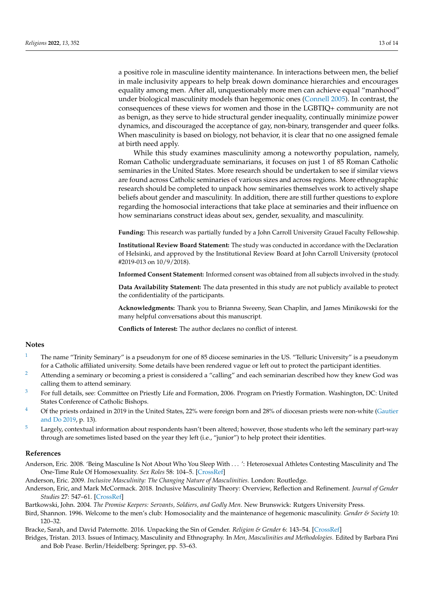a positive role in masculine identity maintenance. In interactions between men, the belief in male inclusivity appears to help break down dominance hierarchies and encourages equality among men. After all, unquestionably more men can achieve equal "manhood" under biological masculinity models than hegemonic ones [\(Connell](#page-14-3) [2005\)](#page-14-3). In contrast, the consequences of these views for women and those in the LGBTIQ+ community are not as benign, as they serve to hide structural gender inequality, continually minimize power dynamics, and discouraged the acceptance of gay, non-binary, transgender and queer folks. When masculinity is based on biology, not behavior, it is clear that no one assigned female at birth need apply.

While this study examines masculinity among a noteworthy population, namely, Roman Catholic undergraduate seminarians, it focuses on just 1 of 85 Roman Catholic seminaries in the United States. More research should be undertaken to see if similar views are found across Catholic seminaries of various sizes and across regions. More ethnographic research should be completed to unpack how seminaries themselves work to actively shape beliefs about gender and masculinity. In addition, there are still further questions to explore regarding the homosocial interactions that take place at seminaries and their influence on how seminarians construct ideas about sex, gender, sexuality, and masculinity.

**Funding:** This research was partially funded by a John Carroll University Grauel Faculty Fellowship.

**Institutional Review Board Statement:** The study was conducted in accordance with the Declaration of Helsinki, and approved by the Institutional Review Board at John Carroll University (protocol #2019-013 on 10/9/2018).

**Informed Consent Statement:** Informed consent was obtained from all subjects involved in the study.

**Data Availability Statement:** The data presented in this study are not publicly available to protect the confidentiality of the participants.

**Acknowledgments:** Thank you to Brianna Sweeny, Sean Chaplin, and James Minikowski for the many helpful conversations about this manuscript.

**Conflicts of Interest:** The author declares no conflict of interest.

#### **Notes**

- <span id="page-13-5"></span>[1](#page-4-0) The name "Trinity Seminary" is a pseudonym for one of 85 diocese seminaries in the US. "Telluric University" is a pseudonym for a Catholic affiliated university. Some details have been rendered vague or left out to protect the participant identities.
- <span id="page-13-6"></span>Attending a seminary or becoming a priest is considered a "calling" and each seminarian described how they knew God was calling them to attend seminary.
- <span id="page-13-7"></span><sup>[3](#page-5-1)</sup> For full details, see: Committee on Priestly Life and Formation, 2006. Program on Priestly Formation. Washington, DC: United States Conference of Catholic Bishops.
- <span id="page-13-8"></span><sup>[4](#page-5-2)</sup> Of the priests ordained in 2019 in the United States, 22% were foreign born and 28% of diocesan priests were non-white [\(Gautier](#page-14-23) [and Do](#page-14-23) [2019,](#page-14-23) p. 13).
- <span id="page-13-9"></span><sup>[5](#page-5-3)</sup> Largely, contextual information about respondents hasn't been altered; however, those students who left the seminary part-way through are sometimes listed based on the year they left (i.e., "junior") to help protect their identities.

#### **References**

<span id="page-13-11"></span>Anderson, Eric. 2008. 'Being Masculine Is Not About Who You Sleep With . . . ': Heterosexual Athletes Contesting Masculinity and The One-Time Rule Of Homosexuality. *Sex Roles* 58: 104–5. [\[CrossRef\]](http://doi.org/10.1007/s11199-007-9337-7)

<span id="page-13-0"></span>Anderson, Eric. 2009. *Inclusive Masculinity: The Changing Nature of Masculinities*. London: Routledge.

<span id="page-13-1"></span>Anderson, Eric, and Mark McCormack. 2018. Inclusive Masculinity Theory: Overview, Reflection and Refinement. *Journal of Gender Studies* 27: 547–61. [\[CrossRef\]](http://doi.org/10.1080/09589236.2016.1245605)

<span id="page-13-3"></span>Bartkowski, John. 2004. *The Promise Keepers: Servants, Soldiers, and Godly Men*. New Brunswick: Rutgers University Press.

<span id="page-13-2"></span>Bird, Shannon. 1996. Welcome to the men's club: Homosociality and the maintenance of hegemonic masculinity. *Gender & Society* 10: 120–32.

<span id="page-13-4"></span>Bracke, Sarah, and David Paternotte. 2016. Unpacking the Sin of Gender. *Religion & Gender* 6: 143–54. [\[CrossRef\]](http://doi.org/10.18352/rg.10167)

<span id="page-13-10"></span>Bridges, Tristan. 2013. Issues of Intimacy, Masculinity and Ethnography. In *Men, Masculinities and Methodologies*. Edited by Barbara Pini and Bob Pease. Berlin/Heidelberg: Springer, pp. 53–63.